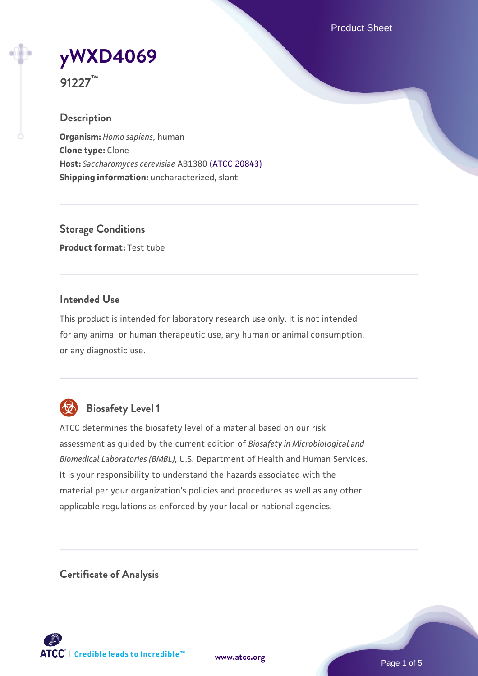Product Sheet

# **[yWXD4069](https://www.atcc.org/products/91227)**

**91227™**

# **Description**

**Organism:** *Homo sapiens*, human **Clone type:** Clone **Host:** *Saccharomyces cerevisiae* AB1380 [\(ATCC 20843\)](https://www.atcc.org/products/20843) **Shipping information:** uncharacterized, slant

**Storage Conditions Product format:** Test tube

# **Intended Use**

This product is intended for laboratory research use only. It is not intended for any animal or human therapeutic use, any human or animal consumption, or any diagnostic use.



# **Biosafety Level 1**

ATCC determines the biosafety level of a material based on our risk assessment as guided by the current edition of *Biosafety in Microbiological and Biomedical Laboratories (BMBL)*, U.S. Department of Health and Human Services. It is your responsibility to understand the hazards associated with the material per your organization's policies and procedures as well as any other applicable regulations as enforced by your local or national agencies.

**Certificate of Analysis**

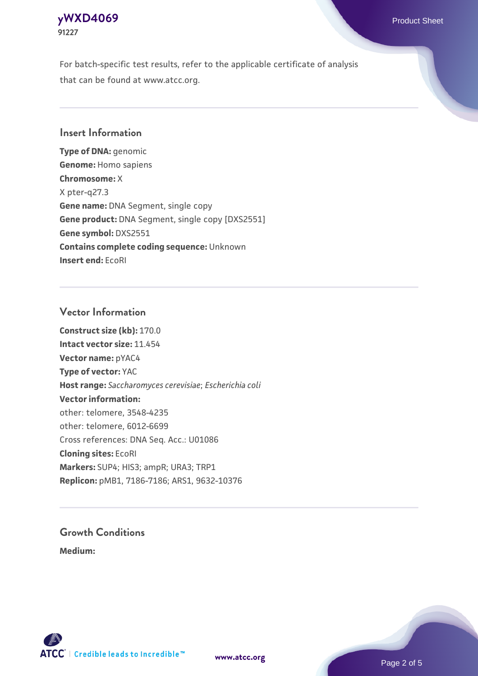# **[yWXD4069](https://www.atcc.org/products/91227)** Product Sheet **91227**

For batch-specific test results, refer to the applicable certificate of analysis that can be found at www.atcc.org.

# **Insert Information**

**Type of DNA:** genomic **Genome:** Homo sapiens **Chromosome:** X X pter-q27.3 **Gene name:** DNA Segment, single copy **Gene product:** DNA Segment, single copy [DXS2551] **Gene symbol:** DXS2551 **Contains complete coding sequence:** Unknown **Insert end:** EcoRI

# **Vector Information**

**Construct size (kb):** 170.0 **Intact vector size:** 11.454 **Vector name:** pYAC4 **Type of vector:** YAC **Host range:** *Saccharomyces cerevisiae*; *Escherichia coli* **Vector information:** other: telomere, 3548-4235 other: telomere, 6012-6699 Cross references: DNA Seq. Acc.: U01086 **Cloning sites:** EcoRI **Markers:** SUP4; HIS3; ampR; URA3; TRP1 **Replicon:** pMB1, 7186-7186; ARS1, 9632-10376

# **Growth Conditions**

**Medium:** 



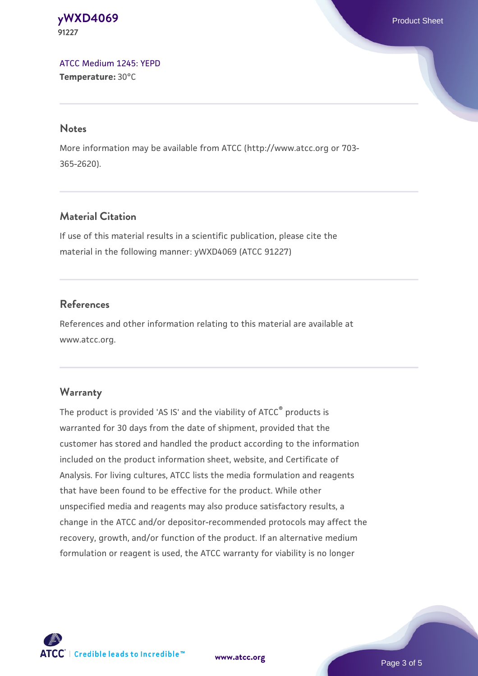#### **[yWXD4069](https://www.atcc.org/products/91227)** Product Sheet **91227**

[ATCC Medium 1245: YEPD](https://www.atcc.org/-/media/product-assets/documents/microbial-media-formulations/1/2/4/5/atcc-medium-1245.pdf?rev=705ca55d1b6f490a808a965d5c072196) **Temperature:** 30°C

#### **Notes**

More information may be available from ATCC (http://www.atcc.org or 703- 365-2620).

# **Material Citation**

If use of this material results in a scientific publication, please cite the material in the following manner: yWXD4069 (ATCC 91227)

# **References**

References and other information relating to this material are available at www.atcc.org.

# **Warranty**

The product is provided 'AS IS' and the viability of ATCC® products is warranted for 30 days from the date of shipment, provided that the customer has stored and handled the product according to the information included on the product information sheet, website, and Certificate of Analysis. For living cultures, ATCC lists the media formulation and reagents that have been found to be effective for the product. While other unspecified media and reagents may also produce satisfactory results, a change in the ATCC and/or depositor-recommended protocols may affect the recovery, growth, and/or function of the product. If an alternative medium formulation or reagent is used, the ATCC warranty for viability is no longer



**[www.atcc.org](http://www.atcc.org)**

Page 3 of 5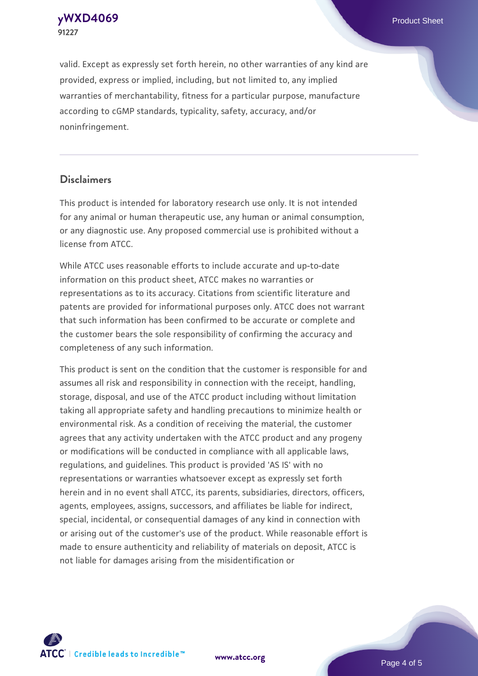**[yWXD4069](https://www.atcc.org/products/91227)** Product Sheet **91227**

valid. Except as expressly set forth herein, no other warranties of any kind are provided, express or implied, including, but not limited to, any implied warranties of merchantability, fitness for a particular purpose, manufacture according to cGMP standards, typicality, safety, accuracy, and/or noninfringement.

#### **Disclaimers**

This product is intended for laboratory research use only. It is not intended for any animal or human therapeutic use, any human or animal consumption, or any diagnostic use. Any proposed commercial use is prohibited without a license from ATCC.

While ATCC uses reasonable efforts to include accurate and up-to-date information on this product sheet, ATCC makes no warranties or representations as to its accuracy. Citations from scientific literature and patents are provided for informational purposes only. ATCC does not warrant that such information has been confirmed to be accurate or complete and the customer bears the sole responsibility of confirming the accuracy and completeness of any such information.

This product is sent on the condition that the customer is responsible for and assumes all risk and responsibility in connection with the receipt, handling, storage, disposal, and use of the ATCC product including without limitation taking all appropriate safety and handling precautions to minimize health or environmental risk. As a condition of receiving the material, the customer agrees that any activity undertaken with the ATCC product and any progeny or modifications will be conducted in compliance with all applicable laws, regulations, and guidelines. This product is provided 'AS IS' with no representations or warranties whatsoever except as expressly set forth herein and in no event shall ATCC, its parents, subsidiaries, directors, officers, agents, employees, assigns, successors, and affiliates be liable for indirect, special, incidental, or consequential damages of any kind in connection with or arising out of the customer's use of the product. While reasonable effort is made to ensure authenticity and reliability of materials on deposit, ATCC is not liable for damages arising from the misidentification or



**[www.atcc.org](http://www.atcc.org)**

Page 4 of 5